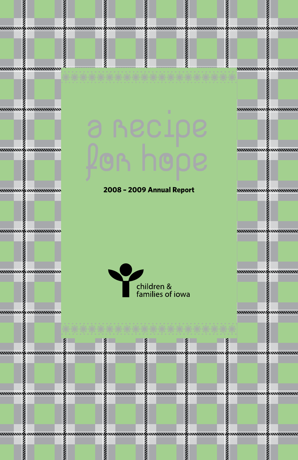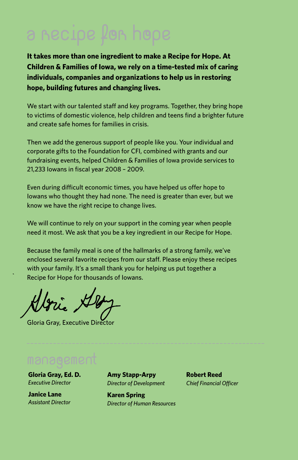**It takes more than one ingredient to make a Recipe for Hope. At Children & Families of Iowa, we rely on a time-tested mix of caring individuals, companies and organizations to help us in restoring hope, building futures and changing lives.** 

We start with our talented staff and key programs. Together, they bring hope to victims of domestic violence, help children and teens find a brighter future and create safe homes for families in crisis.

Then we add the generous support of people like you. Your individual and corporate gifts to the Foundation for CFI, combined with grants and our fundraising events, helped Children & Families of Iowa provide services to 21,233 Iowans in fiscal year 2008 – 2009.

Even during difficult economic times, you have helped us offer hope to Iowans who thought they had none. The need is greater than ever, but we know we have the right recipe to change lives.

We will continue to rely on your support in the coming year when people need it most. We ask that you be a key ingredient in our Recipe for Hope.

Because the family meal is one of the hallmarks of a strong family, we've enclosed several favorite recipes from our staff. Please enjoy these recipes with your family. It's a small thank you for helping us put together a Recipe for Hope for thousands of Iowans.

Gloria Gray, Executive Director

**Gloria Gray, Ed. D.** *Executive Director*

**Janice Lane** *Assistant Director*  **Amy Stapp-Arpy** *Director of Development*

**Karen Spring** *Director of Human Resources* **Robert Reed** *Chief Financial Officer*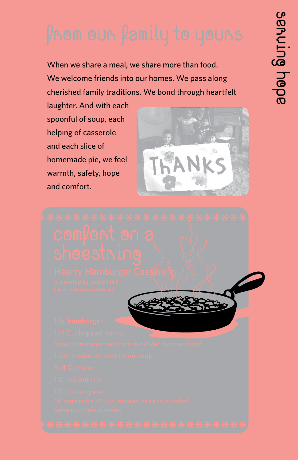When we share a meal, we share more than food. We welcome friends into our homes. We pass along cherished family traditions. We bond through heartfelt

laughter. And with each spoonful of soup, each helping of casserole and each slice of homemade pie, we feel warmth, safety, hope and comfort.



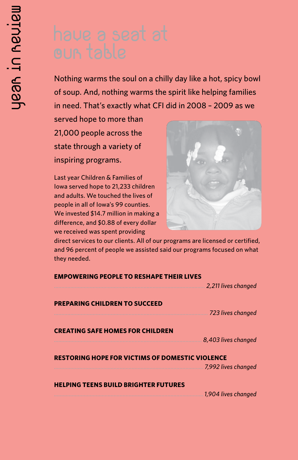Nothing warms the soul on a chilly day like a hot, spicy bowl of soup. And, nothing warms the spirit like helping families in need. That's exactly what CFI did in 2008 – 2009 as we

served hope to more than 21,000 people across the state through a variety of inspiring programs.

Last year Children & Families of Iowa served hope to 21,233 children and adults. We touched the lives of people in all of Iowa's 99 counties. We invested \$14.7 million in making a difference, and \$0.88 of every dollar we received was spent providing



direct services to our clients. All of our programs are licensed or certified, and 96 percent of people we assisted said our programs focused on what they needed.

### **Empowering People to Reshape Their Lives**

*..................................................................................................... 2,211 lives changed* **Preparing Children to Succeed** *....................................................................................................... 723 lives changed* **Creating Safe Homes for Children** *................................................................................................... 8,403 lives changed* **Restoring Hope for Victims of Domestic Violence** *.................................................................................................... 7,992 lives changed* **Helping Teens Build Brighter Futures**

*....................................................................................................1,904 lives changed*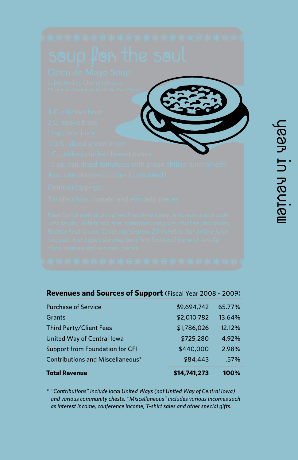

| Revenues and Sources of Support (Fiscal Year 2008 - 2009) |
|-----------------------------------------------------------|
|-----------------------------------------------------------|

| \$14,741,273 | 100%   |
|--------------|--------|
| \$84,443     | .57%   |
| \$440,000    | 2.98%  |
| \$725,280    | 4.92%  |
| \$1,786,026  | 12.12% |
| \$2,010,782  | 13.64% |
| \$9,694,742  | 65.77% |
|              |        |

*\* "Contributions" include local United Ways (not United Way of Central Iowa) and various community chests. "Miscellaneous" includes various incomes such as interest income, conference income, T-shirt sales and other special gifts.*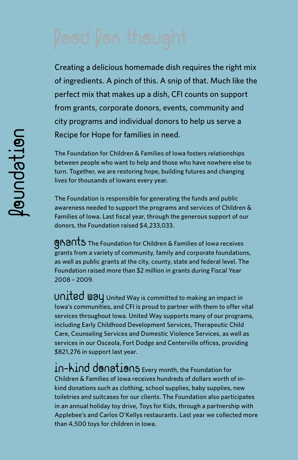Creating a delicious homemade dish requires the right mix of ingredients. A pinch of this. A snip of that. Much like the perfect mix that makes up a dish, CFI counts on support from grants, corporate donors, events, community and city programs and individual donors to help us serve a Recipe for Hope for families in need.

The Foundation for Children & Families of Iowa fosters relationships between people who want to help and those who have nowhere else to turn. Together, we are restoring hope, building futures and changing lives for thousands of Iowans every year.

The Foundation is responsible for generating the funds and public awareness needed to support the programs and services of Children & Families of Iowa. Last fiscal year, through the generous support of our donors, the Foundation raised \$4,233,033.

**GRANTS** The Foundation for Children & Families of Iowa receives grants from a variety of community, family and corporate foundations, as well as public grants at the city, county, state and federal level. The Foundation raised more than \$2 million in grants during Fiscal Year 2008 – 2009.

UNITED WAY United Way is committed to making an impact in Iowa's communities, and CFI is proud to partner with them to offer vital services throughout Iowa. United Way supports many of our programs, including Early Childhood Development Services, Therapeutic Child Care, Counseling Services and Domestic Violence Services, as well as services in our Osceola, Fort Dodge and Centerville offices, providing \$821,276 in support last year.

in-kind donations Every month, the Foundation for Children & Families of Iowa receives hundreds of dollars worth of inkind donations such as clothing, school supplies, baby supplies, new toiletries and suitcases for our clients. The Foundation also participates in an annual holiday toy drive, Toys for Kids, through a partnership with Applebee's and Carlos O'Kellys restaurants. Last year we collected more than 4,500 toys for children in Iowa.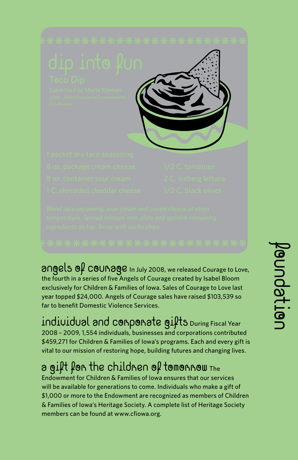

 $\partial$ ngels  $\mathfrak{g}_{\ell}$  COUR $\partial$ Qe In July 2008, we released Courage to Love, the fourth in a series of five Angels of Courage created by Isabel Bloom exclusively for Children & Families of Iowa. Sales of Courage to Love last year topped \$24,000. Angels of Courage sales have raised \$103,539 so far to benefit Domestic Violence Services.

Individual and Corporate Gifts During Fiscal Year 2008 – 2009, 1,554 individuals, businesses and corporations contributed \$459,271 for Children & Families of Iowa's programs. Each and every gift is vital to our mission of restoring hope, building futures and changing lives.

## a gift for the children of tomorrow The

Endowment for Children & Families of Iowa ensures that our services will be available for generations to come. Individuals who make a gift of \$1,000 or more to the Endowment are recognized as members of Children & Families of Iowa's Heritage Society. A complete list of Heritage Society members can be found at www.cfiowa.org.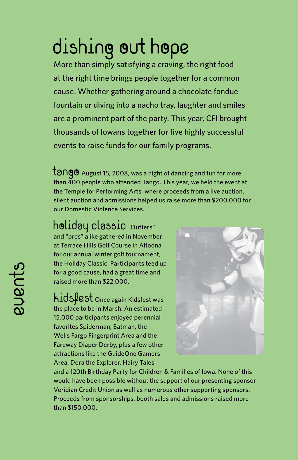# dishing out hope

More than simply satisfying a craving, the right food at the right time brings people together for a common cause. Whether gathering around a chocolate fondue fountain or diving into a nacho tray, laughter and smiles are a prominent part of the party. This year, CFI brought thousands of Iowans together for five highly successful events to raise funds for our family programs.

 $\frac{1}{2}$  Tangust 15, 2008, was a night of dancing and fun for more than 400 people who attended Tango. This year, we held the event at the Temple for Performing Arts, where proceeds from a live auction, silent auction and admissions helped us raise more than \$200,000 for our Domestic Violence Services.

## holiday classic "Duffers"

and "pros" alike gathered in November at Terrace Hills Golf Course in Altoona for our annual winter golf tournament, the Holiday Classic. Participants teed up for a good cause, had a great time and raised more than \$22,000.

Kidsfest Once again Kidsfest was the place to be in March. An estimated 15,000 participants enjoyed perennial favorites Spiderman, Batman, the Wells Fargo Fingerprint Area and the Fareway Diaper Derby, plus a few other attractions like the GuideOne Gamers Area, Dora the Explorer, Hairy Tales



and a 120th Birthday Party for Children & Families of Iowa. None of this would have been possible without the support of our presenting sponsor Veridian Credit Union as well as numerous other supporting sponsors. Proceeds from sponsorships, booth sales and admissions raised more than \$150,000.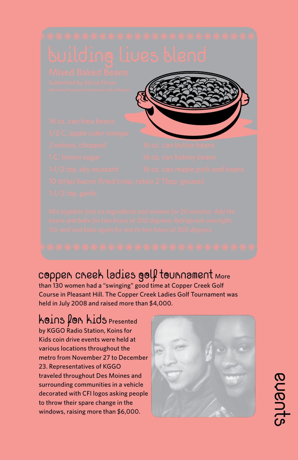## coppen cneek ladies golf tounnament More

than 130 women had a "swinging" good time at Copper Creek Golf Course in Pleasant Hill. The Copper Creek Ladies Golf Tournament was held in July 2008 and raised more than \$4,000.

## **Koins for Kids Presented**

by KGGO Radio Station, Koins for Kids coin drive events were held at various locations throughout the metro from November 27 to December 23. Representatives of KGGO traveled throughout Des Moines and surrounding communities in a vehicle decorated with CFI logos asking people to throw their spare change in the windows, raising more than \$6,000.



Events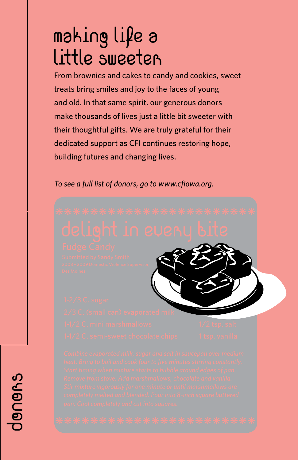# making life a Little Sweeter

From brownies and cakes to candy and cookies, sweet treats bring smiles and joy to the faces of young and old. In that same spirit, our generous donors make thousands of lives just a little bit sweeter with their thoughtful gifts. We are truly grateful for their dedicated support as CFI continues restoring hope, building futures and changing lives.

*To see a full list of donors, go to www.cfiowa.org.*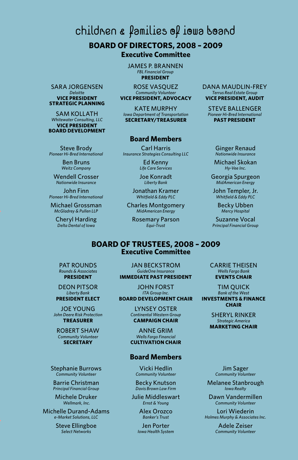children & families of iowa board

## **BOARD OF DIRECTORS, 2008 – 2009 Executive Committee**

James P. Brannen *FBL Financial Group* **President**

ROSE VASOUEZ *Community Volunteer* **Vice President, Advocacy**

**KATE MURPHY** *Iowa Department of Transportation* **Secretary/Treasurer**

### **Board Members**

Carl Harris *Insurance Strategies Consulting LLC*

> Ed Kenny *Life Care Services*

Joe Konradt *Liberty Bank*

Jonathan Kramer *Whitfield & Eddy PLC*

Charles Montgomery *MidAmerican Energy* 

Rosemary Parson *Equi-Trust*

Dana Maudlin-Frey *Terrus Real Estate Group* **Vice President, Audit**

Steve Ballenger *Pioneer Hi-Bred International* **Past President**

> Ginger Renaud *Nationwide Insurance*

Michael Skokan *Hy-Vee Inc.*

Georgia Spurgeon *MidAmerican Energy*

John Templer, Jr. *Whitfield & Eddy PLC*

> Becky Ubben *Mercy Hospital*

Suzanne Vocal *Principal Financial Group*

### **BOARD OF TRUSTEES, 2008 – 2009 Executive Committee**

PAT ROUNDS *Rounds & Associates* **President**

Steve Brody *Pioneer Hi-Bred International* Ben Bruns *Weitz Company* Wendell Crosser *Nationwide Insurance* John Finn *Pioneer Hi-Bred International* Michael Grossman *McGladrey & Pullen LLP* Cheryl Harding *Delta Dental of Iowa*

Sara Jorgensen *Deloitte* **Vice President Strategic Planning** Sam Kollath *Whitewater Consulting, LLC* **Vice President Board Development**

> Deon Pitsor *Liberty Bank* **President Elect**

Joe Young *John Deere Risk Protection* **Treasurer**

Robert Shaw *Community Volunteer*  **Secretary**

Stephanie Burrows *Community Volunteer*

Barrie Christman *Principal Financial Group*

Michele Druker  *Wellmark, Inc.*

Michelle Durand-Adams *e-Market Solutions, LLC*

> Steve Ellingboe *Select Networks*

Jan Beckstrom *GuideOne Insurance* **Immediate Past President**

John Forst *ITA Group Inc.* **Board Development Chair**

> Lynsey Oster *Continental Western Group* **Campaign Chair**

Anne Grim *Wells Fargo Financial* **Cultivation Chair**

### **Board Members**

Vicki Hedlin *Community Volunteer*

Becky Knutson *Davis Brown Law Firm*

Julie Middleswart *Ernst & Young*

> Alex Orozco *Banker's Trust*

Jen Porter *Iowa Health System* Carrie Theisen *Wells Fargo Bank* **Events Chair**

Tim Quick *Bank of the West* **Investments & Finance Chair**

> Sheryl Rinker *Strategic America* **Marketing Chair**

Jim Sager *Community Volunteer*

Melanee Stanbrough *Iowa Realty*

Dawn Vandermillen *Community Volunteer*

Lori Wiederin *Holmes Murphy & Associates Inc.*

> Adele Zeiser *Community Volunteer*